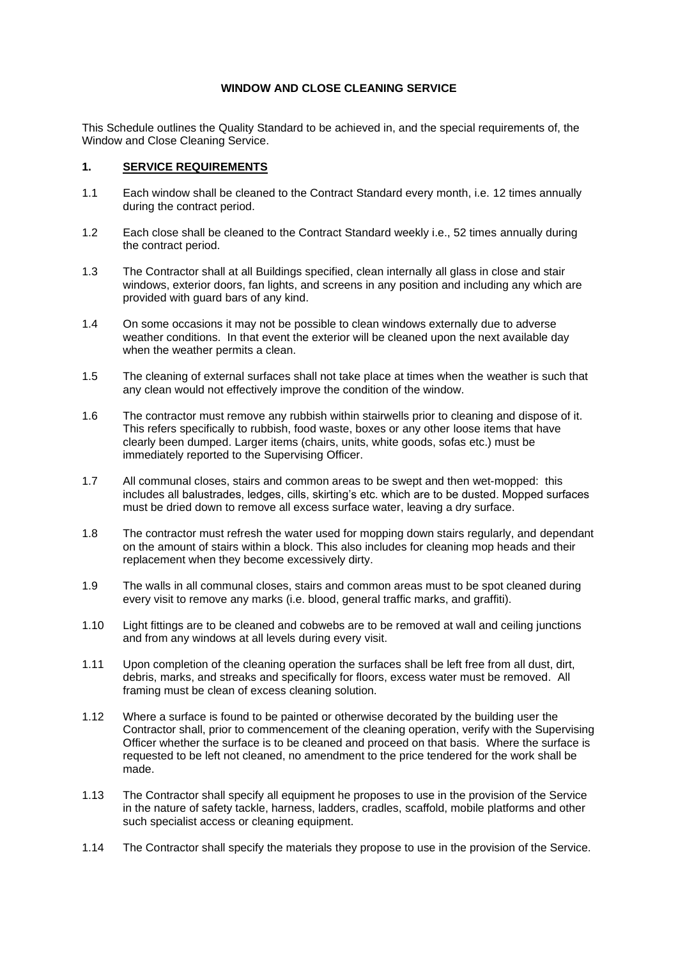## **WINDOW AND CLOSE CLEANING SERVICE**

This Schedule outlines the Quality Standard to be achieved in, and the special requirements of, the Window and Close Cleaning Service.

## **1. SERVICE REQUIREMENTS**

- 1.1 Each window shall be cleaned to the Contract Standard every month, i.e. 12 times annually during the contract period.
- 1.2 Each close shall be cleaned to the Contract Standard weekly i.e., 52 times annually during the contract period.
- 1.3 The Contractor shall at all Buildings specified, clean internally all glass in close and stair windows, exterior doors, fan lights, and screens in any position and including any which are provided with guard bars of any kind.
- 1.4 On some occasions it may not be possible to clean windows externally due to adverse weather conditions. In that event the exterior will be cleaned upon the next available day when the weather permits a clean.
- 1.5 The cleaning of external surfaces shall not take place at times when the weather is such that any clean would not effectively improve the condition of the window.
- 1.6 The contractor must remove any rubbish within stairwells prior to cleaning and dispose of it. This refers specifically to rubbish, food waste, boxes or any other loose items that have clearly been dumped. Larger items (chairs, units, white goods, sofas etc.) must be immediately reported to the Supervising Officer.
- 1.7 All communal closes, stairs and common areas to be swept and then wet-mopped: this includes all balustrades, ledges, cills, skirting's etc. which are to be dusted. Mopped surfaces must be dried down to remove all excess surface water, leaving a dry surface.
- 1.8 The contractor must refresh the water used for mopping down stairs regularly, and dependant on the amount of stairs within a block. This also includes for cleaning mop heads and their replacement when they become excessively dirty.
- 1.9 The walls in all communal closes, stairs and common areas must to be spot cleaned during every visit to remove any marks (i.e. blood, general traffic marks, and graffiti).
- 1.10 Light fittings are to be cleaned and cobwebs are to be removed at wall and ceiling junctions and from any windows at all levels during every visit.
- 1.11 Upon completion of the cleaning operation the surfaces shall be left free from all dust, dirt, debris, marks, and streaks and specifically for floors, excess water must be removed. All framing must be clean of excess cleaning solution.
- 1.12 Where a surface is found to be painted or otherwise decorated by the building user the Contractor shall, prior to commencement of the cleaning operation, verify with the Supervising Officer whether the surface is to be cleaned and proceed on that basis. Where the surface is requested to be left not cleaned, no amendment to the price tendered for the work shall be made.
- 1.13 The Contractor shall specify all equipment he proposes to use in the provision of the Service in the nature of safety tackle, harness, ladders, cradles, scaffold, mobile platforms and other such specialist access or cleaning equipment.
- 1.14 The Contractor shall specify the materials they propose to use in the provision of the Service.